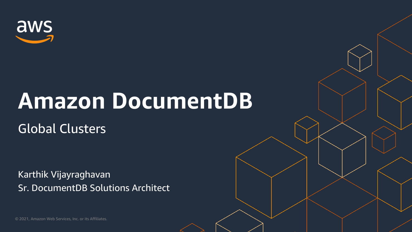

Karthik Vijayraghavan Sr. DocumentDB Solutions Architect



## **Amazon DocumentDB**

## Global Clusters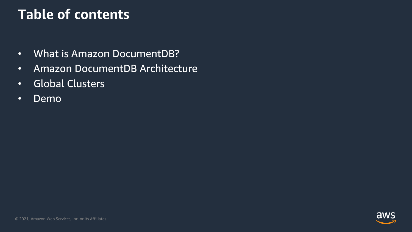

## **Table of contents**

- What is Amazon DocumentDB?
- Amazon DocumentDB Architecture
- Global Clusters
- Demo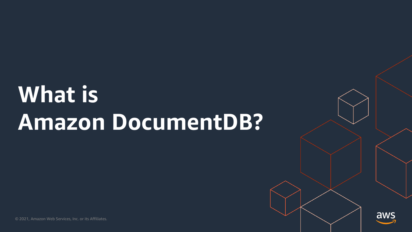

## **What is Amazon DocumentDB?**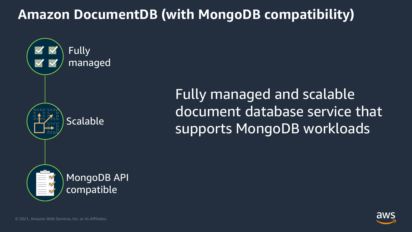





## Fully managed and scalable document database service that supports MongoDB workloads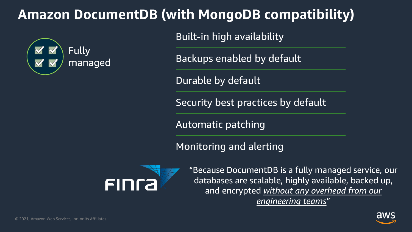





"Because DocumentDB is a fully managed service, our databases are scalable, highly available, backed up, and encrypted *without any overhead from our engineering teams*"

Backups enabled by default

Durable by default

Built-in high availability

Security best practices by default

Automatic patching

Monitoring and alerting



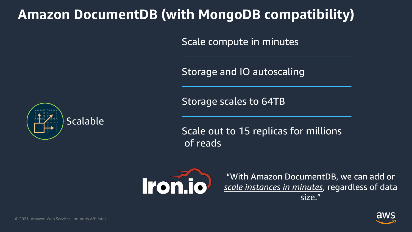



"With Amazon DocumentDB, we can add or *scale instances in minutes*, regardless of data size."

Scale compute in minutes

Storage and IO autoscaling

Storage scales to 64TB

Scale out to 15 replicas for millions of reads



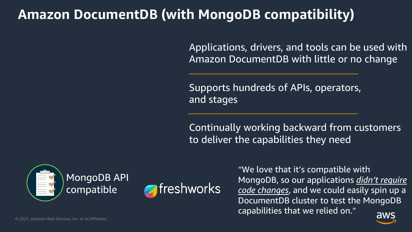

"We love that it's compatible with MongoDB, so our applications *didn't require code changes*, and we could easily spin up a DocumentDB cluster to test the MongoDB capabilities that we relied on."

Applications, drivers, and tools can be used with Amazon DocumentDB with little or no change

Supports hundreds of APIs, operators, and stages

Continually working backward from customers to deliver the capabilities they need



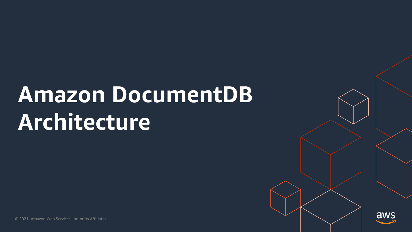

## **Amazon DocumentDB Architecture**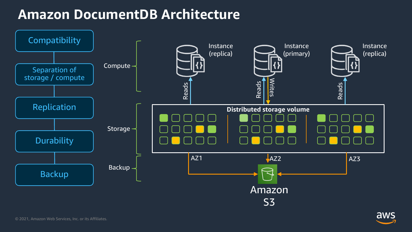

### **Amazon DocumentDB Architecture**

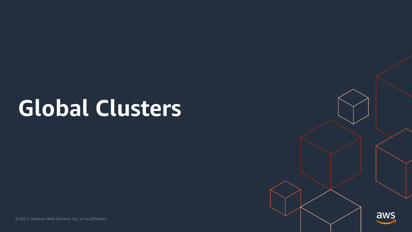

## **Global Clusters**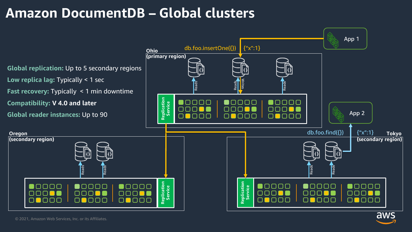## **Amazon DocumentDB – Global clusters**

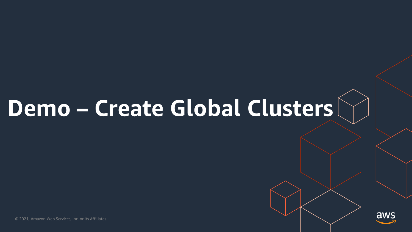





## **Demo – Create Global Clusters**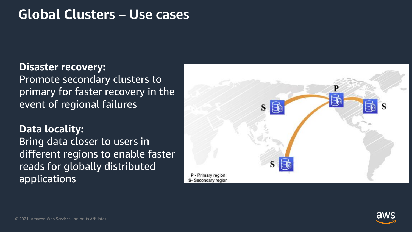

### **Global Clusters – Use cases**

### **Disaster recovery:**

Promote secondary clusters to primary for faster recovery in the event of regional failures

**Data locality:**  Bring data closer to users in different regions to enable faster reads for globally distributed applications

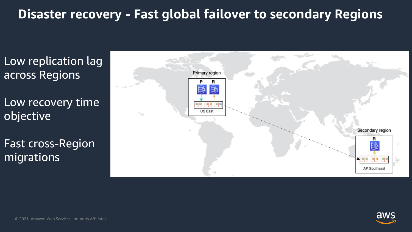

## **Disaster recovery - Fast global failover to secondary Regions**

Low recovery time objective

Low replication lag across Regions

Fast cross-Region migrations

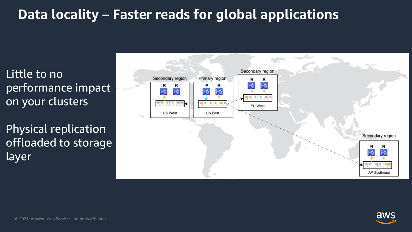



## **Data locality – Faster reads for global applications**

Little to no performance impact on your clusters

Physical replication offloaded to storage layer

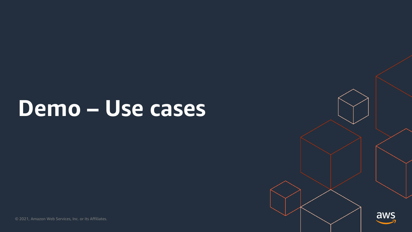

## **Demo – Use cases**